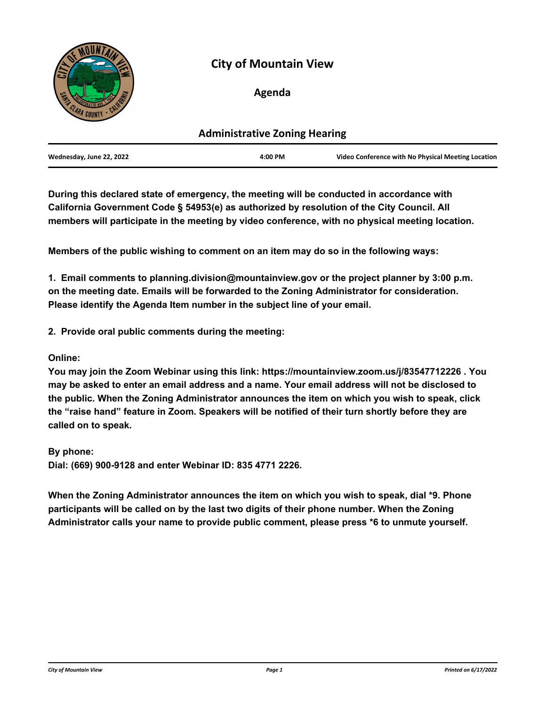

# **City of Mountain View**

# **Agenda**

| <b>Administrative Zoning Hearing</b> |         |                                                    |
|--------------------------------------|---------|----------------------------------------------------|
| Wednesday, June 22, 2022             | 4:00 PM | Video Conference with No Physical Meeting Location |

**During this declared state of emergency, the meeting will be conducted in accordance with California Government Code § 54953(e) as authorized by resolution of the City Council. All members will participate in the meeting by video conference, with no physical meeting location.**

**Members of the public wishing to comment on an item may do so in the following ways:**

**1. Email comments to planning.division@mountainview.gov or the project planner by 3:00 p.m. on the meeting date. Emails will be forwarded to the Zoning Administrator for consideration. Please identify the Agenda Item number in the subject line of your email.** 

**2. Provide oral public comments during the meeting:**

**Online:**

**You may join the Zoom Webinar using this link: https://mountainview.zoom.us/j/83547712226 . You may be asked to enter an email address and a name. Your email address will not be disclosed to the public. When the Zoning Administrator announces the item on which you wish to speak, click the "raise hand" feature in Zoom. Speakers will be notified of their turn shortly before they are called on to speak.** 

**By phone: Dial: (669) 900-9128 and enter Webinar ID: 835 4771 2226.**

**When the Zoning Administrator announces the item on which you wish to speak, dial \*9. Phone participants will be called on by the last two digits of their phone number. When the Zoning Administrator calls your name to provide public comment, please press \*6 to unmute yourself.**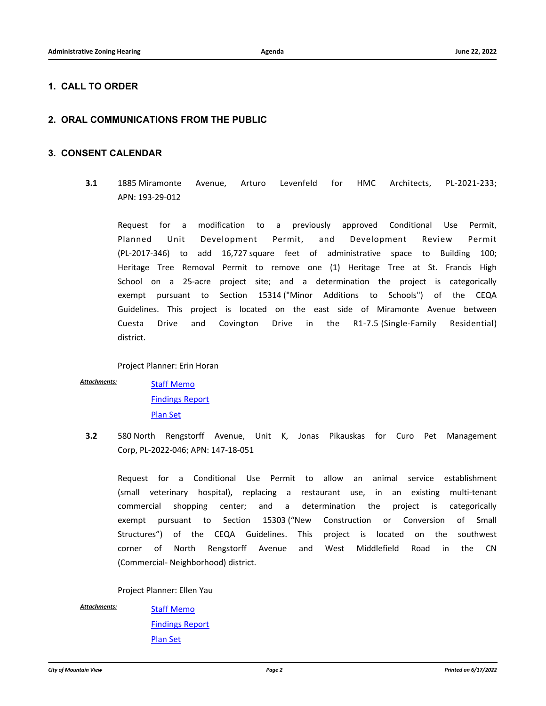## **1. CALL TO ORDER**

# **2. ORAL COMMUNICATIONS FROM THE PUBLIC**

### **3. CONSENT CALENDAR**

**3.1** [1885 Miramonte Avenue, Arturo Levenfeld for HMC Architects, PL-2021-233;](http://mountainview.legistar.com/gateway.aspx?m=l&id=/matter.aspx?key=6574) APN: 193-29-012

Request for a modification to a previously approved Conditional Use Permit, Planned Unit Development Permit, and Development Review Permit (PL-2017-346) to add 16,727 square feet of administrative space to Building 100; Heritage Tree Removal Permit to remove one (1) Heritage Tree at St. Francis High School on a 25-acre project site; and a determination the project is categorically exempt pursuant to Section 15314 ("Minor Additions to Schools") of the CEQA Guidelines. This project is located on the east side of Miramonte Avenue between Cuesta Drive and Covington Drive in the R1-7.5 (Single-Family Residential) district.

Project Planner: Erin Horan

*Attachments:*

[Staff Memo](http://mountainview.legistar.com/gateway.aspx?M=F&ID=34798eff-a4b2-440d-8f4e-f247c5320324.pdf) [Findings Report](http://mountainview.legistar.com/gateway.aspx?M=F&ID=43885935-bf46-46d9-8551-535a89e5f04b.pdf) [Plan Set](http://mountainview.legistar.com/gateway.aspx?M=F&ID=5a22730d-d8cf-4ca1-9854-3239e1fdfed3.pdf)

**3.2** 580 North Rengstorff Avenue, Unit K, Jonas Pikauskas for Curo Pet Management Corp, PL-2022-046; APN: 147-18-051

[Request for a Conditional Use Permit to allow an animal service establishment](http://mountainview.legistar.com/gateway.aspx?m=l&id=/matter.aspx?key=6575) (small veterinary hospital), replacing a restaurant use, in an existing multi-tenant commercial shopping center; and a determination the project is categorically exempt pursuant to Section 15303 ("New Construction or Conversion of Small Structures") of the CEQA Guidelines. This project is located on the southwest corner of North Rengstorff Avenue and West Middlefield Road in the CN (Commercial- Neighborhood) district.

Project Planner: Ellen Yau

*Attachments:*

[Staff Memo](http://mountainview.legistar.com/gateway.aspx?M=F&ID=b4fbf327-b1c7-4f40-a5c9-85960ec613c6.pdf) [Findings Report](http://mountainview.legistar.com/gateway.aspx?M=F&ID=c0ccd78e-e782-42bf-a951-01d7b1d2a65d.pdf) [Plan Set](http://mountainview.legistar.com/gateway.aspx?M=F&ID=ef4c5a09-6f06-44f2-9018-592ceb8681d5.pdf)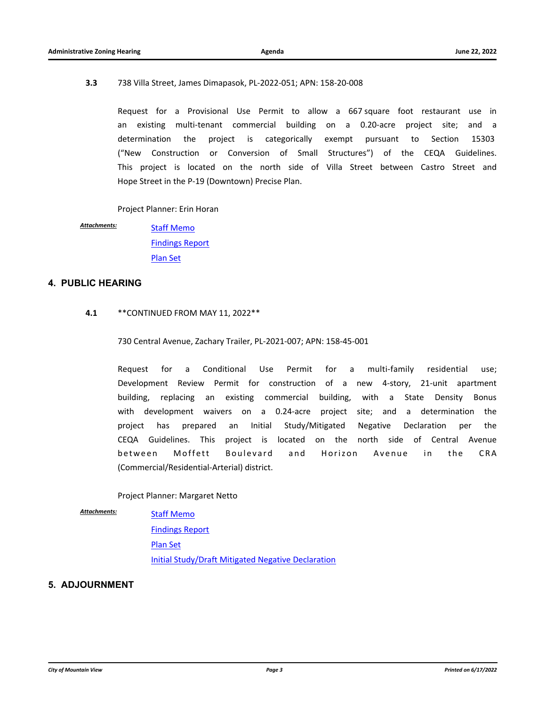#### **3.3** 738 Villa Street, James Dimapasok, PL-2022-051; APN: 158-20-008

[Request for a Provisional Use Permit to allow a 667 square foot restaurant use in](http://mountainview.legistar.com/gateway.aspx?m=l&id=/matter.aspx?key=6576) an existing multi-tenant commercial building on a 0.20-acre project site; and a determination the project is categorically exempt pursuant to Section 15303 ("New Construction or Conversion of Small Structures") of the CEQA Guidelines. This project is located on the north side of Villa Street between Castro Street and Hope Street in the P-19 (Downtown) Precise Plan.

Project Planner: Erin Horan

[Staff Memo](http://mountainview.legistar.com/gateway.aspx?M=F&ID=26dcca1c-c41b-41b2-b8c0-af1a5e186188.pdf) [Findings Report](http://mountainview.legistar.com/gateway.aspx?M=F&ID=4c87b289-6ade-4244-be05-74813b51d422.pdf) [Plan Set](http://mountainview.legistar.com/gateway.aspx?M=F&ID=3e43d6b7-54d5-4184-ba17-2c98e0d665a8.pdf) *Attachments:*

#### **4. PUBLIC HEARING**

#### **4.1** \*\*CONTINUED FROM MAY 11, 2022\*\*

730 Central Avenue, Zachary Trailer, PL-2021-007; APN: 158-45-001

[Request for a Conditional Use Permit for a multi-family residential use;](http://mountainview.legistar.com/gateway.aspx?m=l&id=/matter.aspx?key=6508) Development Review Permit for construction of a new 4-story, 21-unit apartment building, replacing an existing commercial building, with a State Density Bonus with development waivers on a 0.24-acre project site; and a determination the project has prepared an Initial Study/Mitigated Negative Declaration per the CEQA Guidelines. This project is located on the north side of Central Avenue between Moffett Boulevard and Horizon Avenue in the CRA (Commercial/Residential-Arterial) district.

### Project Planner: Margaret Netto

*Attachments:*

**[Staff Memo](http://mountainview.legistar.com/gateway.aspx?M=F&ID=9dd2e707-0bbe-429c-a2b9-09e43f77adbb.pdf)** [Findings Report](http://mountainview.legistar.com/gateway.aspx?M=F&ID=571acf09-9cf2-4169-ba7e-5269d1ec43ee.pdf) [Plan Set](http://mountainview.legistar.com/gateway.aspx?M=F&ID=a259a4e3-fae6-4090-825d-2dc3702a6958.pdf) [Initial Study/Draft Mitigated Negative Declaration](http://mountainview.legistar.com/gateway.aspx?M=F&ID=31b68735-01fa-4704-8d50-819ecd619840.pdf)

# **5. ADJOURNMENT**